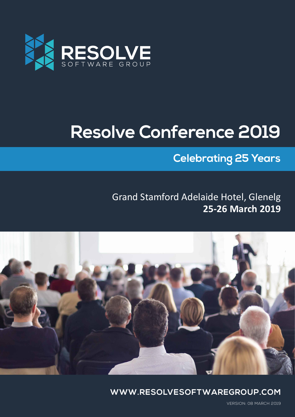

# **Resolve Conference 2019**

## **Celebrating 25 Years**

### **25-26 March 2019** Grand Stamford Adelaide Hotel, Glenelg



**WWW.RESOLVESOFTWAREGROUP.COM**

VERSION: 08 MARCH 2019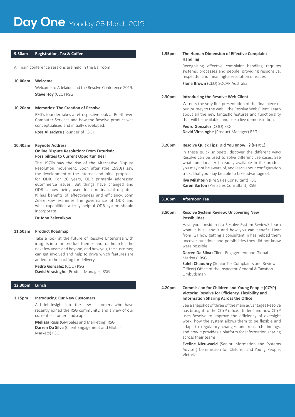#### **9.30am Registration, Tea & Coffee**

All main conference sessions are held in the Ballroom.

#### **10.00am Welcome**

Welcome to Adelaide and the Resolve Conference 2019. **Steve Hoy** (CEO) RSG

#### **10.20am Memories: The Creation of Resolve**

 RSG's founder takes a retrospective look at Beethoven Computer Services and how the Resolve product was conceptualised and initially developed.

 **Ross Allardyce** (Founder of RSG)

#### **10.40am Keynote Address**

#### **Online Dispute Resolution: From Futuristic Possibilities to Current Opportunities!**

 The 1970s saw the rise of the Alternative Dispute Resolution movement. Soon after (the 1990s) saw the development of the Internet and initial proposals for ODR. For 20 years, ODR primarily addressed eCommerce issues. But things have changed and ODR is now being used for non-financial disputes. It has benefits of effectiveness and efficiency. John Zeleznikow examines the governance of ODR and what capabilities a truly helpful ODR system should incorporate.

#### **Dr John Zeleznikow**

#### **11.50am Product Roadmap**

Take a look at the future of Resolve Enterprise with insights into the product themes and roadmap for the next fewyears and beyond, and howyou, the customer, can get involved and help to drive which features are added to the backlog for delivery.

#### **Pedro Gonzalez** (COO) RSG

**David Virasinghe** (Product Manager) RSG

#### **12.30pm Lunch**

#### **1.15pm Introducing Our New Customers**

 A brief insight into the new customers who have recently joined the RSG community, and a view of our current customer landscape.

**Melissa Ross** (GM Sales and Marketing) RSG **Darren Da Silva** (Client Engagement and Global Markets) RSG

#### **1.55pm The Human Dimension of Effective Complaint Handling**

 Recognising effective complaint handling requires systems, processes and people, providing responsive, respectful and meaningful resolution of issues.

**Fiona Brown** (CEO) SOCAP Australia

#### **2.30pm Introducing the Resolve Web Client**

 Witness the very first presentation of the final piece of our journey to the web – the Resolve Web Client. Learn about all the new fantastic features and functionality that will be available, and see a live demonstration.

#### **Pedro Gonzalez** (COO) RSG

**David Virasinghe** (Product Manager) RSG

#### **3.20pm Resolve Quick Tips: Did You Know…? (Part 1)**

 In these quick snippets, discover the different ways Resolve can be used to solve different use cases. See what functionality is readily available in the product you may not be aware of, and learn about configuration tricks that you may be able to take advantage of.

**Ilya Milshtein** (Pre Sales Consultant) RSG **Karen Barton** (Pre Sales Consultant) RSG

#### **3.30pm Afternoon Tea**

#### **3.50pm Resolve System Review: Uncovering New Possibilities**

 Have you considered a Resolve System Review? Learn what it is all about and how you can benefit. Hear from IGT how getting a consultant in has helped them uncover functions and possibilities they did not know were possible.

**Darren Da Silva** (Client Engagement and Global Markets) RSG

**Saleh Chaudhry** (Senior Tax Complaints and Review Officer) Office of the Inspector-General & Taxation Ombudsman

#### **4.20pm Commission for Children and Young People (CCYP) Victoria: Resolve for Efficiency, Flexibility and Information Sharing Across the Office**

See a snapshot of three of the main advantages Resolve has brought to the CCYP office. Understand how CCYP uses Resolve to improve the efficiency of oversight work, how the system allows them to be flexible and adapt to regulatory changes and research findings, and how it provides a platform for information sharing across their teams.

**Eveline Nieuwveld** (Senior Information and Systems Adviser) Commission for Children and Young People, Victoria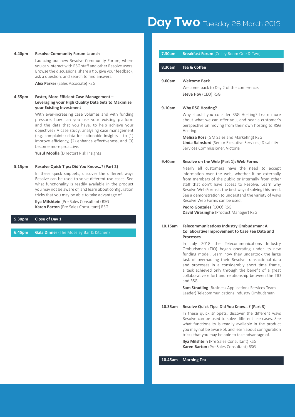#### **4.40pm Resolve Community Forum Launch**

 Launcing our new Resolve Community Forum, where you can interact with RSG staff and other Resolve users. Browse the discussions, share a tip, give your feedback, ask a question, and search to find answers.

**Alex Parker** (Sales Associate) RSG

#### **4.55pm Faster, More Efficient Case Management – Leveraging your High Quality Data Sets to Maximise your Existing Investment**

 With ever-increasing case volumes and with funding pressure, how can you use your existing platform and the data that you have, to help achieve your objectives? A case study: analysing case management (e.g. complaints) data for actionable insights – to (1) improve efficiency, (2) enhance effectiveness, and (3) become more proactive.

**Yusuf Moolla** (Director) Risk Insights

#### **5.15pm Resolve Quick Tips: Did You Know…? (Part 2)**

 In these quick snippets, discover the different ways Resolve can be used to solve different use cases. See what functionality is readily available in the product you may not be aware of, and learn about configuration tricks that you may be able to take advantage of.

**Ilya Milshtein** (Pre Sales Consultant) RSG **Karen Barton** (Pre Sales Consultant) RSG

#### **5.30pm Close of Day 1**

**6.45pm Gala Dinner** (The Moseley Bar & Kitchen)

### **8.30am Tea & Coffee 9.00am Welcome Back** Welcome back to Day 2 of the conference. **Steve Hoy** (CEO) RSG **9.10am Why RSG Hosting?** Why should you consider RSG Hosting? Learn more about what we can offer you, and hear a customer's perspective on moving from their own hosting to RSG Hosting. **Melissa Ross** (GM Sales and Marketing) RSG **Linda Rainsford** (Senior Executive Services) Disability Services Commissioner, Victoria **9.40am Resolve on the Web (Part 1): Web Forms** Nearly all customers have the need to accept information over the web, whether it be externally from members of the public or internally from other staff that don't have access to Resolve. Learn why Resolve Web Forms is the best way of solving this need.

**Pedro Gonzalez** (COO) RSG **David Virasinghe** (Product Manager) RSG

Resolve Web Forms can be used.

#### **10.15am Telecommunications Industry Ombudsman: A Collaborative Improvement to Case Fee Data and Processes**

 In July 2018 the Telecommunications Industry Ombudsman (TIO) began operating under its new funding model. Learn how they undertook the large task of overhauling their Resolve transactional data and processes in a considerably short time frame, a task achieved only through the benefit of a great collaborative effort and relationship between the TIO and RSG.

See a demonstration to understand the variety of ways

**Sam Stradling** (Business Applications Services Team Leader) Telecommunications Industry Ombudsman

#### **10.35am Resolve Quick Tips: Did You Know…? (Part 3)**

 In these quick snippets, discover the different ways Resolve can be used to solve different use cases. See what functionality is readily available in the product you may not be aware of, and learn about configuration tricks that you may be able to take advantage of.

**Ilya Milshtein** (Pre Sales Consultant) RSG **Karen Barton** (Pre Sales Consultant) RSG

**10.45am Morning Tea**

#### **7.30am** Breakfast Forum (Colley Room One & Two)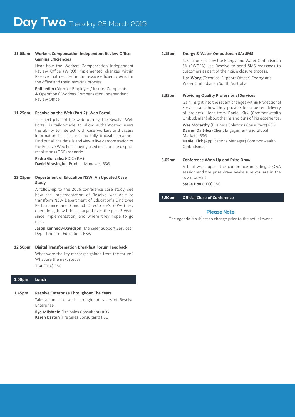#### **11.05am Workers Compensation Independent Review Office: Gaining Efficiencies**

 Hear how the Workers Compensation Independent Review Office (WIRO) implemented changes within Resolve that resulted in impressive efficiency wins for the office and their invoicing process.

**Phil Jedlin** (Director Employer / Insurer Complaints & Operations) Workers Compensation Independent Review Office

#### **11.25am Resolve on the Web (Part 2): Web Portal**

 The next pillar of the web journey, the Resolve Web Portal, is tailor-made to allow authenticated users the ability to interact with case workers and access information in a secure and fully traceable manner. Find out all the details and view a live demonstration of the Resolve Web Portal being used in an online dispute resolutions (ODR) scenario.

**Pedro Gonzalez** (COO) RSG **David Virasinghe** (Product Manager) RSG

#### **12.25pm Department of Education NSW: An Updated Case Study**

 A follow-up to the 2016 conference case study, see how the implementation of Resolve was able to transform NSW Department of Education's Employee Performance and Conduct Directorate's (EPAC) key operations, how it has changed over the past 5 years since implementation, and where they hope to go next.

**Jason Kennedy-Davidson** (Manager Support Services) Department of Education, NSW

#### **12.50pm Digital Transformation Breakfast Forum Feedback**

 What were the key messages gained from the forum? What are the next steps?

**TBA** (TBA) RSG

#### **1.00pm Lunch**

#### **1.45pm Resolve Enterprise Throughout The Years**

 Take a fun little walk through the years of Resolve Enterprise.

**Ilya Milshtein** (Pre Sales Consultant) RSG **Karen Barton** (Pre Sales Consultant) RSG

### **2.15pm Energy & Water Ombudsman SA: SMS** Take a look at how the Energy and Water Ombudsman SA (EWOSA) use Resolve to send SMS messages to customers as part of their case closure process.  **Lisa Wong** (Technical Support Officer) Energy and Water Ombudsman South Australia **2.35pm Providing Quality Professional Services** Gain insight into the recent changes within Professional Services and how they provide for a better delivery of projects. Hear from Daniel Kirk (Commonwealth Ombudsman) about the ins and outs of his experience.  **Wes McCarthy** (Business Solutions Consultant) RSG **Darren Da Silva** (Client Engagement and Global Markets) RSG **Daniel Kirk** (Applications Manager) Commonwealth Ombudsman **3.05pm Conference Wrap Up and Prize Draw**

 A final wrap up of the conference including a Q&A session and the prize draw. Make sure you are in the room to win!

**Steve Hoy** (CEO) RSG

**3.30pm Official Close of Conference**

#### **Please Note:**

The agenda is subject to change prior to the actual event.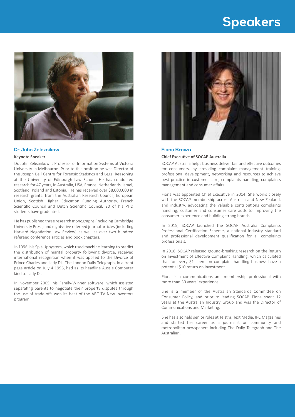# **Speakers**



#### **Dr John Zeleznikow**

#### **Keynote Speaker**

Dr. John Zeleznikow is Professor of Information Systems at Victoria University in Melbourne. Prior to this position he was Director of the Joseph Bell Centre for Forensic Statistics and Legal Reasoning at the University of Edinburgh Law School. He has conducted research for 47 years, in Australia, USA, France, Netherlands, Israel, Scotland, Poland and Estonia. He has received over \$8,000,000 in research grants: from the Australian Research Council, European Union, Scottish Higher Education Funding Authority, French Scientific Council and Dutch Scientific Council. 20 of his PHD students have graduated.

He has published three research monographs(including Cambridge University Press) and eighty-five refereed journal articles (including Harvard Negotiation Law Review) as well as over two hundred refereed conference articles and book chapters.

In 1996, his Spit-Up system, which used machine learning to predict the distribution of marital property following divorce, received international recognition when it was applied to the Divorce of Prince Charles and Lady Di. The London Daily Telegraph, in a front page article on July 4 1996, had as its headline Aussie Computer kind to Lady Di.

In November 2005, his Family-Winner software, which assisted separating parents to negotiate their property disputes through the use of trade-offs won its heat of the ABC TV New Inventors program.



#### **Fiona Brown**

#### **Chief Executive of SOCAP Australia**

SOCAP Australia helps business deliver fair and effective outcomes for consumers, by providing complaint management training, professional development, networking and resources to achieve best practice in customer care, complaints handling, complaints management and consumer affairs.

Fiona was appointed Chief Executive in 2014. She works closely with the SOCAP membership across Australia and New Zealand, and industry, advocating the valuable contributions complaints handling, customer and consumer care adds to improving the consumer experience and building strong brands.

In 2015, SOCAP launched the SOCAP Australia Complaints Professional Certification Scheme, a national industry standard and professional development qualification for all complaints professionals.

In 2018, SOCAP released ground-breaking research on the Return on Investment of Effective Complaint Handling, which calculated that for every \$1 spent on complaint handling business have a potential \$10 return on investment.

Fiona is a communications and membership professional with more than 30 years' experience.

She is a member of the Australian Standards Committee on Consumer Policy, and prior to leading SOCAP, Fiona spent 12 years at the Australian Industry Group and was the Director of Communications and Marketing.

She has also held senior roles at Telstra, Text Media, IPC Magazines and started her career as a journalist on community and metropolitan newspapers including The Daily Telegraph and The Australian.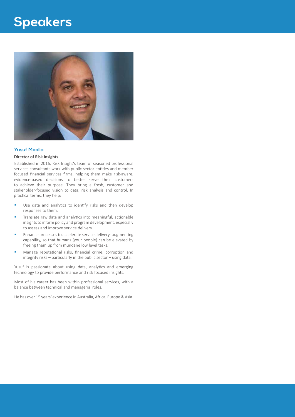# **Speakers**



#### **Yusuf Moolla**

#### **Director of Risk Insights**

Established in 2016, Risk Insight's team of seasoned professional services consultants work with public sector entities and member focused financial services firms, helping them make risk-aware, evidence-based decisions to better serve their customers to achieve their purpose. They bring a fresh, customer and stakeholder-focused vision to data, risk analysis and control. In practical terms, they help:

- Use data and analytics to identify risks and then develop responses to them.
- Translate raw data and analytics into meaningful, actionable insights to inform policy and program development, especially to assess and improve service delivery.
- **Enhance processes to accelerate service delivery- augmenting** capability, so that humans (your people) can be elevated by freeing them up from mundane low level tasks.
- Manage reputational risks, financial crime, corruption and integrity risks – particularly in the public sector – using data.

Yusuf is passionate about using data, analytics and emerging technology to provide performance and risk focused insights.

Most of his career has been within professional services, with a balance between technical and managerial roles.

He has over 15 years' experience in Australia, Africa, Europe & Asia.